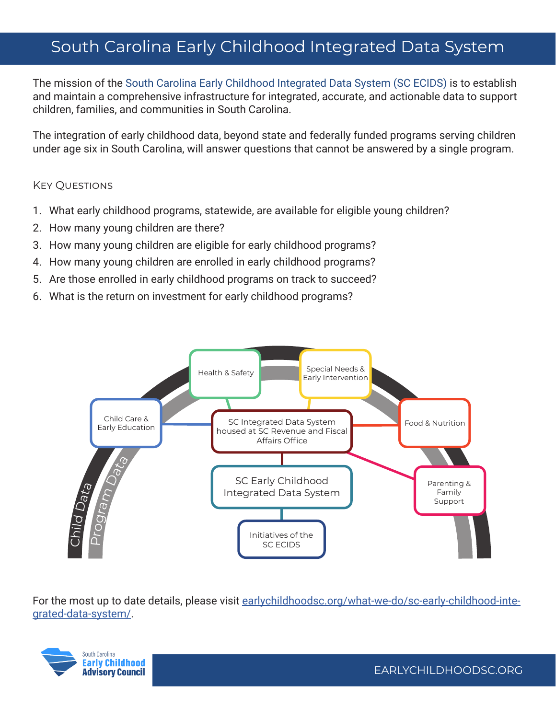# South Carolina Early Childhood Integrated Data System

The mission of the South Carolina Early Childhood Integrated Data System (SC ECIDS) is to establish and maintain a comprehensive infrastructure for integrated, accurate, and actionable data to support children, families, and communities in South Carolina.

The integration of early childhood data, beyond state and federally funded programs serving children under age six in South Carolina, will answer questions that cannot be answered by a single program.

### Key Questions

- 1. What early childhood programs, statewide, are available for eligible young children?
- 2. How many young children are there?
- 3. How many young children are eligible for early childhood programs?
- 4. How many young children are enrolled in early childhood programs?
- 5. Are those enrolled in early childhood programs on track to succeed?
- 6. What is the return on investment for early childhood programs?



For the most up to date details, please visit [earlychildhoodsc.org/what-we-do/sc-early-childhood-inte](http://earlychildhoodsc.org/what-we-do/sc-early-childhood-integrated-data-system/)[grated-data-system/](http://earlychildhoodsc.org/what-we-do/sc-early-childhood-integrated-data-system/).